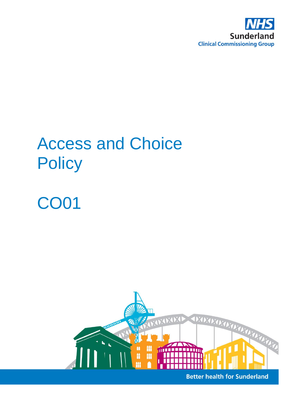

# Access and Choice **Policy**

# CO01



**Better health for Sunderland**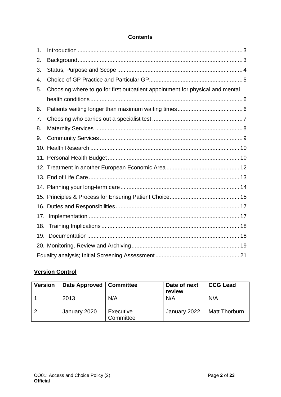#### **Contents**

| 1.  |                                                                               |  |  |
|-----|-------------------------------------------------------------------------------|--|--|
| 2.  |                                                                               |  |  |
| 3.  |                                                                               |  |  |
| 4.  |                                                                               |  |  |
| 5.  | Choosing where to go for first outpatient appointment for physical and mental |  |  |
|     |                                                                               |  |  |
| 6.  |                                                                               |  |  |
| 7.  |                                                                               |  |  |
| 8.  |                                                                               |  |  |
| 9.  |                                                                               |  |  |
|     |                                                                               |  |  |
|     |                                                                               |  |  |
|     |                                                                               |  |  |
|     |                                                                               |  |  |
|     |                                                                               |  |  |
|     |                                                                               |  |  |
|     |                                                                               |  |  |
| 17. |                                                                               |  |  |
| 18. |                                                                               |  |  |
| 19. |                                                                               |  |  |
|     |                                                                               |  |  |
|     |                                                                               |  |  |

## **Version Control**

| <b>Version</b> | Date Approved   Committee |                        | Date of next<br>review | <b>CCG Lead</b>      |
|----------------|---------------------------|------------------------|------------------------|----------------------|
|                | 2013                      | N/A                    | N/A                    | N/A                  |
| 2              | January 2020              | Executive<br>Committee | January 2022           | <b>Matt Thorburn</b> |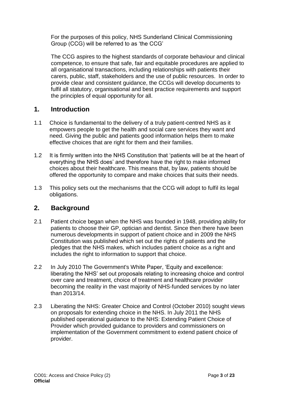For the purposes of this policy, NHS Sunderland Clinical Commissioning Group (CCG) will be referred to as 'the CCG'

The CCG aspires to the highest standards of corporate behaviour and clinical competence, to ensure that safe, fair and equitable procedures are applied to all organisational transactions, including relationships with patients their carers, public, staff, stakeholders and the use of public resources. In order to provide clear and consistent guidance, the CCGs will develop documents to fulfil all statutory, organisational and best practice requirements and support the principles of equal opportunity for all.

## <span id="page-2-0"></span>**1. Introduction**

- 1.1 Choice is fundamental to the delivery of a truly patient-centred NHS as it empowers people to get the health and social care services they want and need. Giving the public and patients good information helps them to make effective choices that are right for them and their families.
- 1.2 It is firmly written into the NHS Constitution that 'patients will be at the heart of everything the NHS does' and therefore have the right to make informed choices about their healthcare. This means that, by law, patients should be offered the opportunity to compare and make choices that suits their needs.
- 1.3 This policy sets out the mechanisms that the CCG will adopt to fulfil its legal obligations.

## <span id="page-2-1"></span>**2. Background**

- 2.1 Patient choice began when the NHS was founded in 1948, providing ability for patients to choose their GP, optician and dentist. Since then there have been numerous developments in support of patient choice and in 2009 the NHS Constitution was published which set out the rights of patients and the pledges that the NHS makes, which includes patient choice as a right and includes the right to information to support that choice.
- 2.2 In July 2010 The Government's White Paper, 'Equity and excellence: liberating the NHS' set out proposals relating to increasing choice and control over care and treatment, choice of treatment and healthcare provider becoming the reality in the vast majority of NHS-funded services by no later than 2013/14.
- 2.3 Liberating the NHS: Greater Choice and Control (October 2010) sought views on proposals for extending choice in the NHS. In July 2011 the NHS published operational guidance to the NHS: Extending Patient Choice of Provider which provided guidance to providers and commissioners on implementation of the Government commitment to extend patient choice of provider.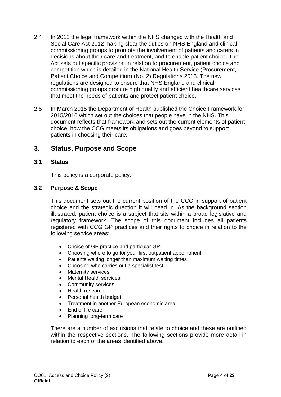- 2.4 In 2012 the legal framework within the NHS changed with the Health and Social Care Act 2012 making clear the duties on NHS England and clinical commissioning groups to promote the involvement of patients and carers in decisions about their care and treatment, and to enable patient choice. The Act sets out specific provision in relation to procurement, patient choice and competition which is detailed in the National Health Service (Procurement, Patient Choice and Competition) (No. 2) Regulations 2013. The new regulations are designed to ensure that NHS England and clinical commissioning groups procure high quality and efficient healthcare services that meet the needs of patients and protect patient choice.
- 2.5 In March 2015 the Department of Health published the Choice Framework for 2015/2016 which set out the choices that people have in the NHS. This document reflects that framework and sets out the current elements of patient choice, how the CCG meets its obligations and goes beyond to support patients in choosing their care.

#### <span id="page-3-0"></span>**3. Status, Purpose and Scope**

#### **3.1 Status**

This policy is a corporate policy.

#### **3.2 Purpose & Scope**

This document sets out the current position of the CCG in support of patient choice and the strategic direction it will head in. As the background section illustrated, patient choice is a subject that sits within a broad legislative and regulatory framework. The scope of this document includes all patients registered with CCG GP practices and their rights to choice in relation to the following service areas:

- Choice of GP practice and particular GP
- Choosing where to go for your first outpatient appointment
- Patients waiting longer than maximum waiting times
- Choosing who carries out a specialist test
- Maternity services
- Mental Health services
- Community services
- Health research
- Personal health budget
- Treatment in another European economic area
- End of life care
- Planning long-term care

There are a number of exclusions that relate to choice and these are outlined within the respective sections. The following sections provide more detail in relation to each of the areas identified above.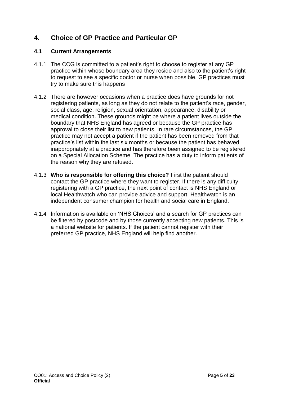## <span id="page-4-0"></span>**4. Choice of GP Practice and Particular GP**

- 4.1.1 The CCG is committed to a patient's right to choose to register at any GP practice within whose boundary area they reside and also to the patient's right to request to see a specific doctor or nurse when possible. GP practices must try to make sure this happens
- 4.1.2 There are however occasions when a practice does have grounds for not registering patients, as long as they do not relate to the patient's race, gender, social class, age, religion, sexual orientation, appearance, disability or medical condition. These grounds might be where a patient lives outside the boundary that NHS England has agreed or because the GP practice has approval to close their list to new patients. In rare circumstances, the GP practice may not accept a patient if the patient has been removed from that practice's list within the last six months or because the patient has behaved inappropriately at a practice and has therefore been assigned to be registered on a Special Allocation Scheme. The practice has a duty to inform patients of the reason why they are refused.
- 4.1.3 **Who is responsible for offering this choice?** First the patient should contact the GP practice where they want to register. If there is any difficulty registering with a GP practice, the next point of contact is NHS England or local Healthwatch who can provide advice and support. Healthwatch is an independent consumer champion for health and social care in England.
- 4.1.4 Information is available on 'NHS Choices' and a search for GP practices can be filtered by postcode and by those currently accepting new patients. This is a national website for patients. If the patient cannot register with their preferred GP practice, NHS England will help find another.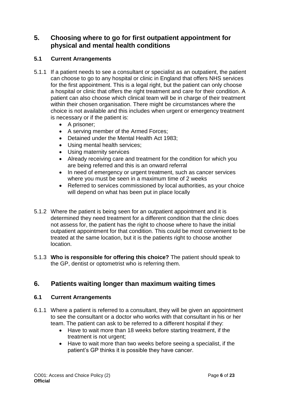## <span id="page-5-0"></span>**5. Choosing where to go for first outpatient appointment for physical and mental health conditions**

#### **5.1 Current Arrangements**

- 5.1.1 If a patient needs to see a consultant or specialist as an outpatient, the patient can choose to go to any hospital or clinic in England that offers NHS services for the first appointment. This is a legal right, but the patient can only choose a hospital or clinic that offers the right treatment and care for their condition. A patient can also choose which clinical team will be in charge of their treatment within their chosen organisation. There might be circumstances where the choice is not available and this includes when urgent or emergency treatment is necessary or if the patient is:
	- A prisoner:
	- A serving member of the Armed Forces;
	- Detained under the Mental Health Act 1983:
	- Using mental health services;
	- Using maternity services
	- Already receiving care and treatment for the condition for which you are being referred and this is an onward referral
	- In need of emergency or urgent treatment, such as cancer services where you must be seen in a maximum time of 2 weeks
	- Referred to services commissioned by local authorities, as your choice will depend on what has been put in place locally
- 5.1.2 Where the patient is being seen for an outpatient appointment and it is determined they need treatment for a different condition that the clinic does not assess for, the patient has the right to choose where to have the initial outpatient appointment for that condition. This could be most convenient to be treated at the same location, but it is the patients right to choose another location.
- 5.1.3 **Who is responsible for offering this choice?** The patient should speak to the GP, dentist or optometrist who is referring them.

## <span id="page-5-1"></span>**6. Patients waiting longer than maximum waiting times**

- 6.1.1 Where a patient is referred to a consultant, they will be given an appointment to see the consultant or a doctor who works with that consultant in his or her team. The patient can ask to be referred to a different hospital if they:
	- Have to wait more than 18 weeks before starting treatment, if the treatment is not urgent;
	- Have to wait more than two weeks before seeing a specialist, if the patient's GP thinks it is possible they have cancer.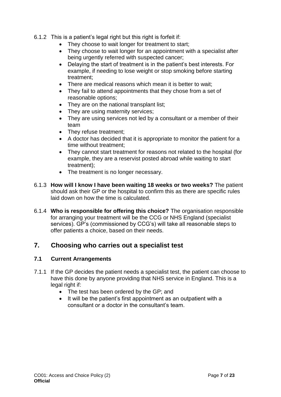- 6.1.2 This is a patient's legal right but this right is forfeit if:
	- They choose to wait longer for treatment to start;
	- They choose to wait longer for an appointment with a specialist after being urgently referred with suspected cancer;
	- Delaying the start of treatment is in the patient's best interests. For example, if needing to lose weight or stop smoking before starting treatment;
	- There are medical reasons which mean it is better to wait;
	- They fail to attend appointments that they chose from a set of reasonable options;
	- They are on the national transplant list;
	- They are using maternity services;
	- They are using services not led by a consultant or a member of their team
	- They refuse treatment;
	- A doctor has decided that it is appropriate to monitor the patient for a time without treatment;
	- They cannot start treatment for reasons not related to the hospital (for example, they are a reservist posted abroad while waiting to start treatment);
	- The treatment is no longer necessary.
- 6.1.3 **How will I know I have been waiting 18 weeks or two weeks?** The patient should ask their GP or the hospital to confirm this as there are specific rules laid down on how the time is calculated.
- 6.1.4 **Who is responsible for offering this choice?** The organisation responsible for arranging your treatment will be the CCG or NHS England (specialist services). GP's (commissioned by CCG's) will take all reasonable steps to offer patients a choice, based on their needs.

## <span id="page-6-0"></span>**7. Choosing who carries out a specialist test**

- 7.1.1 If the GP decides the patient needs a specialist test, the patient can choose to have this done by anyone providing that NHS service in England. This is a legal right if:
	- The test has been ordered by the GP; and
	- It will be the patient's first appointment as an outpatient with a consultant or a doctor in the consultant's team.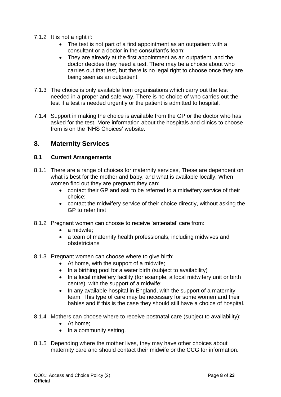- 7.1.2 It is not a right if:
	- The test is not part of a first appointment as an outpatient with a consultant or a doctor in the consultant's team;
	- They are already at the first appointment as an outpatient, and the doctor decides they need a test. There may be a choice about who carries out that test, but there is no legal right to choose once they are being seen as an outpatient.
- 7.1.3 The choice is only available from organisations which carry out the test needed in a proper and safe way. There is no choice of who carries out the test if a test is needed urgently or the patient is admitted to hospital.
- 7.1.4 Support in making the choice is available from the GP or the doctor who has asked for the test. More information about the hospitals and clinics to choose from is on the 'NHS Choices' website.

## <span id="page-7-0"></span>**8. Maternity Services**

- 8.1.1 There are a range of choices for maternity services, These are dependent on what is best for the mother and baby, and what is available locally. When women find out they are pregnant they can:
	- contact their GP and ask to be referred to a midwifery service of their choice;
	- contact the midwifery service of their choice directly, without asking the GP to refer first
- 8.1.2 Pregnant women can choose to receive 'antenatal' care from:
	- a midwife:
	- a team of maternity health professionals, including midwives and obstetricians
- 8.1.3 Pregnant women can choose where to give birth:
	- At home, with the support of a midwife;
	- In a birthing pool for a water birth (subject to availability)
	- In a local midwifery facility (for example, a local midwifery unit or birth centre), with the support of a midwife;
	- In any available hospital in England, with the support of a maternity team. This type of care may be necessary for some women and their babies and if this is the case they should still have a choice of hospital.
- 8.1.4 Mothers can choose where to receive postnatal care (subject to availability):
	- At home:
	- $\bullet$  In a community setting.
- 8.1.5 Depending where the mother lives, they may have other choices about maternity care and should contact their midwife or the CCG for information.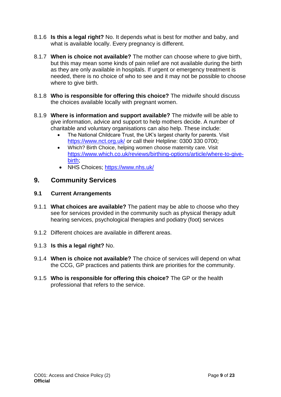- 8.1.6 **Is this a legal right?** No. It depends what is best for mother and baby, and what is available locally. Every pregnancy is different.
- 8.1.7 **When is choice not available?** The mother can choose where to give birth, but this may mean some kinds of pain relief are not available during the birth as they are only available in hospitals. If urgent or emergency treatment is needed, there is no choice of who to see and it may not be possible to choose where to give birth.
- 8.1.8 **Who is responsible for offering this choice?** The midwife should discuss the choices available locally with pregnant women.
- 8.1.9 **Where is information and support available?** The midwife will be able to give information, advice and support to help mothers decide. A number of charitable and voluntary organisations can also help. These include:
	- The National Childcare Trust, the UK's largest charity for parents. Visit <https://www.nct.org.uk/> or call their Helpline: 0300 330 0700;
	- Which? Birth Choice, helping women choose maternity care. Visit [https://www.which.co.uk/reviews/birthing-options/article/where-to-give](https://www.which.co.uk/reviews/birthing-options/article/where-to-give-birth)[birth;](https://www.which.co.uk/reviews/birthing-options/article/where-to-give-birth)
	- NHS Choices;<https://www.nhs.uk/>

## <span id="page-8-0"></span>**9. Community Services**

- 9.1.1 **What choices are available?** The patient may be able to choose who they see for services provided in the community such as physical therapy adult hearing services, psychological therapies and podiatry (foot) services
- 9.1.2 Different choices are available in different areas.
- 9.1.3 **Is this a legal right?** No.
- 9.1.4 **When is choice not available?** The choice of services will depend on what the CCG, GP practices and patients think are priorities for the community.
- 9.1.5 **Who is responsible for offering this choice?** The GP or the health professional that refers to the service.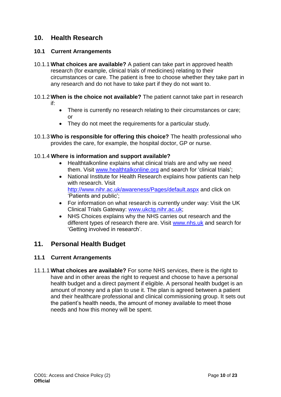## <span id="page-9-0"></span>**10. Health Research**

#### **10.1 Current Arrangements**

- 10.1.1 **What choices are available?** A patient can take part in approved health research (for example, clinical trials of medicines) relating to their circumstances or care. The patient is free to choose whether they take part in any research and do not have to take part if they do not want to.
- 10.1.2 **When is the choice not available?** The patient cannot take part in research if:
	- There is currently no research relating to their circumstances or care; or
	- They do not meet the requirements for a particular study.
- 10.1.3 **Who is responsible for offering this choice?** The health professional who provides the care, for example, the hospital doctor, GP or nurse.

#### 10.1.4 **Where is information and support available?**

- Healthtalkonline explains what clinical trials are and why we need them. Visit [www.healthtalkonline.org](file:///C:/Users/joanne.leadbitter/AppData/Local/Microsoft/Windows/INetCache/Content.Outlook/VPDQ8LDO/www.healthtalkonline.org) and search for 'clinical trials';
- National Institute for Health Research explains how patients can help with research. Visit <http://www.nihr.ac.uk/awareness/Pages/default.aspx> and click on 'Patients and public';
- For information on what research is currently under way: Visit the UK Clinical Trials Gateway: [www.ukctg.nihr.ac.uk;](file:///C:/Users/joanne.leadbitter/AppData/Local/Microsoft/Windows/INetCache/Content.Outlook/VPDQ8LDO/www.ukctg.nihr.ac.uk)
- NHS Choices explains why the NHS carries out research and the different types of research there are. Visit [www.nhs.uk](file:///C:/Users/joanne.leadbitter/AppData/Local/Microsoft/Windows/INetCache/Content.Outlook/VPDQ8LDO/www.nhs.uk) and search for 'Getting involved in research'.

## <span id="page-9-1"></span>**11. Personal Health Budget**

#### **11.1 Current Arrangements**

11.1.1 **What choices are available?** For some NHS services, there is the right to have and in other areas the right to request and choose to have a personal health budget and a direct payment if eligible. A personal health budget is an amount of money and a plan to use it. The plan is agreed between a patient and their healthcare professional and clinical commissioning group. It sets out the patient's health needs, the amount of money available to meet those needs and how this money will be spent.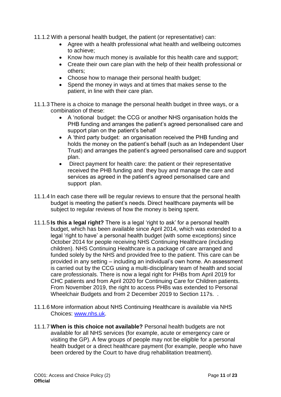11.1.2 With a personal health budget, the patient (or representative) can:

- Agree with a health professional what health and wellbeing outcomes to achieve;
- Know how much money is available for this health care and support;
- Create their own care plan with the help of their health professional or others;
- Choose how to manage their personal health budget;
- Spend the money in ways and at times that makes sense to the patient, in line with their care plan.
- 11.1.3 There is a choice to manage the personal health budget in three ways, or a combination of these:
	- A 'notional budget: the CCG or another NHS organisation holds the PHB funding and arranges the patient's agreed personalised care and support plan on the patient's behalf
	- A 'third party budget: an organisation received the PHB funding and holds the money on the patient's behalf (such as an Independent User Trust) and arranges the patient's agreed personalised care and support plan.
	- Direct payment for health care: the patient or their representative received the PHB funding and they buy and manage the care and services as agreed in the patient's agreed personalised care and support plan.
- 11.1.4 In each case there will be regular reviews to ensure that the personal health budget is meeting the patient's needs. Direct healthcare payments will be subject to regular reviews of how the money is being spent.
- 11.1.5 **Is this a legal right?** There is a legal 'right to ask' for a personal health budget, which has been available since April 2014, which was extended to a legal 'right to have' a personal health budget (with some exceptions) since October 2014 for people receiving NHS Continuing Healthcare (including children). NHS Continuing Healthcare is a package of care arranged and funded solely by the NHS and provided free to the patient. This care can be provided in any setting – including an individual's own home. An assessment is carried out by the CCG using a multi-disciplinary team of health and social care professionals. There is now a legal right for PHBs from April 2019 for CHC patients and from April 2020 for Continuing Care for Children patients. From November 2019, the right to access PHBs was extended to Personal Wheelchair Budgets and from 2 December 2019 to Section 117s. .
- 11.1.6 More information about NHS Continuing Healthcare is available via NHS Choices: [www.nhs.uk.](file:///C:/Users/joanne.leadbitter/AppData/Local/Microsoft/Windows/INetCache/Content.Outlook/VPDQ8LDO/www.nhs.uk)
- 11.1.7 **When is this choice not available?** Personal health budgets are not available for all NHS services (for example, acute or emergency care or visiting the GP). A few groups of people may not be eligible for a personal health budget or a direct healthcare payment (for example, people who have been ordered by the Court to have drug rehabilitation treatment).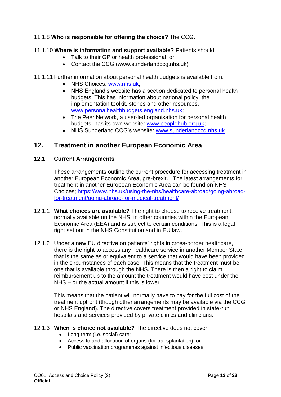#### 11.1.8 **Who is responsible for offering the choice?** The CCG.

#### 11.1.10 **Where is information and support available?** Patients should:

- Talk to their GP or health professional; or
- Contact the CCG (www.sunderlandccg.nhs.uk)

#### 11.1.11 Further information about personal health budgets is available from:

- NHS Choices: [www.nhs.uk;](file:///C:/Users/joanne.leadbitter/AppData/Local/Microsoft/Windows/INetCache/Content.Outlook/VPDQ8LDO/www.nhs.uk)
- NHS England's website has a section dedicated to personal health budgets. This has information about national policy, the implementation toolkit, stories and other resources. [www.personalhealthbudgets.england.nhs.uk;](file:///C:/Users/joanne.leadbitter/AppData/Local/Microsoft/Windows/INetCache/Content.Outlook/VPDQ8LDO/www.personalhealthbudgets.england.nhs.uk)
- The Peer Network, a user-led organisation for personal health budgets, has its own website: [www.peoplehub.org.uk;](http://www.peoplehub.org.uk/)
- NHS Sunderland CCG's website: [www.sunderlandccg.nhs.uk](file:///C:/Users/joanne.leadbitter/AppData/Local/Microsoft/Windows/INetCache/Content.Outlook/VPDQ8LDO/www.sunderlandccg.nhs.uk)

## <span id="page-11-0"></span>**12. Treatment in another European Economic Area**

#### **12.1 Current Arrangements**

These arrangements outline the current procedure for accessing treatment in another European Economic Area, pre-brexit. The latest arrangements for treatment in another European Economic Area can be found on NHS Choices; [https://www.nhs.uk/using-the-nhs/healthcare-abroad/going-abroad](https://www.nhs.uk/using-the-nhs/healthcare-abroad/going-abroad-for-treatment/going-abroad-for-medical-treatment/)[for-treatment/going-abroad-for-medical-treatment/](https://www.nhs.uk/using-the-nhs/healthcare-abroad/going-abroad-for-treatment/going-abroad-for-medical-treatment/)

- 12.1.1 **What choices are available?** The right to choose to receive treatment, normally available on the NHS, in other countries within the European Economic Area (EEA) and is subject to certain conditions. This is a legal right set out in the NHS Constitution and in EU law.
- 12.1.2 Under a new EU directive on patients' rights in cross-border healthcare, there is the right to access any healthcare service in another Member State that is the same as or equivalent to a service that would have been provided in the circumstances of each case. This means that the treatment must be one that is available through the NHS. There is then a right to claim reimbursement up to the amount the treatment would have cost under the NHS – or the actual amount if this is lower.

This means that the patient will normally have to pay for the full cost of the treatment upfront (though other arrangements may be available via the CCG or NHS England). The directive covers treatment provided in state-run hospitals and services provided by private clinics and clinicians.

#### 12.1.3 **When is choice not available?** The directive does not cover:

- Long-term (i.e. social) care:
- Access to and allocation of organs (for transplantation); or
- Public vaccination programmes against infectious diseases.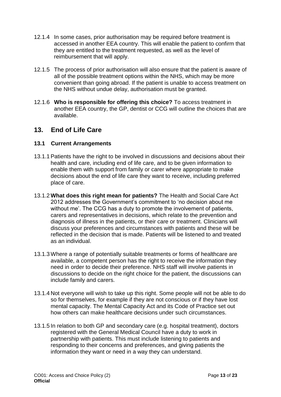- 12.1.4 In some cases, prior authorisation may be required before treatment is accessed in another EEA country. This will enable the patient to confirm that they are entitled to the treatment requested, as well as the level of reimbursement that will apply.
- 12.1.5 The process of prior authorisation will also ensure that the patient is aware of all of the possible treatment options within the NHS, which may be more convenient than going abroad. If the patient is unable to access treatment on the NHS without undue delay, authorisation must be granted.
- 12.1.6 **Who is responsible for offering this choice?** To access treatment in another EEA country, the GP, dentist or CCG will outline the choices that are available.

## <span id="page-12-0"></span>**13. End of Life Care**

- 13.1.1 Patients have the right to be involved in discussions and decisions about their health and care, including end of life care, and to be given information to enable them with support from family or carer where appropriate to make decisions about the end of life care they want to receive, including preferred place of care.
- 13.1.2 **What does this right mean for patients?** The Health and Social Care Act 2012 addresses the Government's commitment to 'no decision about me without me'. The CCG has a duty to promote the involvement of patients, carers and representatives in decisions, which relate to the prevention and diagnosis of illness in the patients, or their care or treatment. Clinicians will discuss your preferences and circumstances with patients and these will be reflected in the decision that is made. Patients will be listened to and treated as an individual.
- 13.1.3 Where a range of potentially suitable treatments or forms of healthcare are available, a competent person has the right to receive the information they need in order to decide their preference. NHS staff will involve patients in discussions to decide on the right choice for the patient, the discussions can include family and carers.
- 13.1.4 Not everyone will wish to take up this right. Some people will not be able to do so for themselves, for example if they are not conscious or if they have lost mental capacity. The Mental Capacity Act and its Code of Practice set out how others can make healthcare decisions under such circumstances.
- 13.1.5 In relation to both GP and secondary care (e.g. hospital treatment), doctors registered with the General Medical Council have a duty to work in partnership with patients. This must include listening to patients and responding to their concerns and preferences, and giving patients the information they want or need in a way they can understand.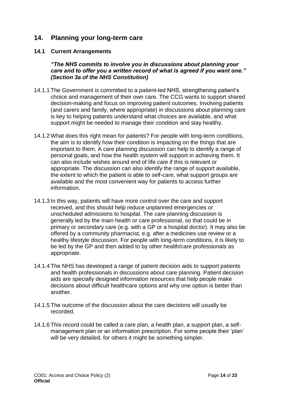## <span id="page-13-0"></span>**14. Planning your long-term care**

#### **14.1 Current Arrangements**

*"The NHS commits to involve you in discussions about planning your care and to offer you a written record of what is agreed if you want one." (Section 3a of the NHS Constitution)*

- 14.1.1 The Government is committed to a patient-led NHS, strengthening patient's choice and management of their own care. The CCG wants to support shared decision-making and focus on improving patient outcomes. Involving patients (and carers and family, where appropriate) in discussions about planning care is key to helping patients understand what choices are available, and what support might be needed to manage their condition and stay healthy.
- 14.1.2 What does this right mean for patients? For people with long-term conditions, the aim is to identify how their condition is impacting on the things that are important to them. A care planning discussion can help to identify a range of personal goals, and how the health system will support in achieving them. It can also include wishes around end of life care if this is relevant or appropriate. The discussion can also identify the range of support available, the extent to which the patient is able to self-care, what support groups are available and the most convenient way for patients to access further information.
- 14.1.3 In this way, patients will have more control over the care and support received, and this should help reduce unplanned emergencies or unscheduled admissions to hospital. The care planning discussion is generally led by the main health or care professional, so that could be in primary or secondary care (e.g. with a GP or a hospital doctor). It may also be offered by a community pharmacist, e.g. after a medicines use review or a healthy lifestyle discussion. For people with long-term conditions, it is likely to be led by the GP and then added to by other health/care professionals as appropriate.
- 14.1.4 The NHS has developed a range of patient decision aids to support patients and health professionals in discussions about care planning. Patient decision aids are specially designed information resources that help people make decisions about difficult healthcare options and why one option is better than another.
- 14.1.5 The outcome of the discussion about the care decisions will usually be recorded.
- 14.1.6 This record could be called a care plan, a health plan, a support plan, a selfmanagement plan or an information prescription. For some people their 'plan' will be very detailed, for others it might be something simpler.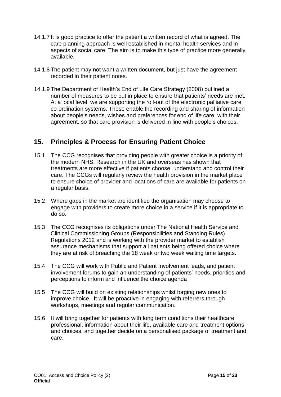- 14.1.7 It is good practice to offer the patient a written record of what is agreed. The care planning approach is well established in mental health services and in aspects of social care. The aim is to make this type of practice more generally available.
- 14.1.8 The patient may not want a written document, but just have the agreement recorded in their patient notes.
- 14.1.9 The Department of Health's End of Life Care Strategy (2008) outlined a number of measures to be put in place to ensure that patients' needs are met. At a local level, we are supporting the roll-out of the electronic palliative care co-ordination systems. These enable the recording and sharing of information about people's needs, wishes and preferences for end of life care, with their agreement, so that care provision is delivered in line with people's choices.

## <span id="page-14-0"></span>**15. Principles & Process for Ensuring Patient Choice**

- 15.1 The CCG recognises that providing people with greater choice is a priority of the modern NHS. Research in the UK and overseas has shown that treatments are more effective if patients choose, understand and control their care. The CCGs will regularly review the health provision in the market place to ensure choice of provider and locations of care are available for patients on a regular basis.
- 15.2 Where gaps in the market are identified the organisation may choose to engage with providers to create more choice in a service if it is appropriate to do so.
- 15.3 The CCG recognises its obligations under The National Health Service and Clinical Commissioning Groups (Responsibilities and Standing Rules) Regulations 2012 and is working with the provider market to establish assurance mechanisms that support all patients being offered choice where they are at risk of breaching the 18 week or two week waiting time targets.
- 15.4 The CCG will work with Public and Patient Involvement leads, and patient involvement forums to gain an understanding of patients' needs, priorities and perceptions to inform and influence the choice agenda
- 15.5 The CCG will build on existing relationships whilst forging new ones to improve choice. It will be proactive in engaging with referrers through workshops, meetings and regular communication.
- 15.6 It will bring together for patients with long term conditions their healthcare professional, information about their life, available care and treatment options and choices, and together decide on a personalised package of treatment and care.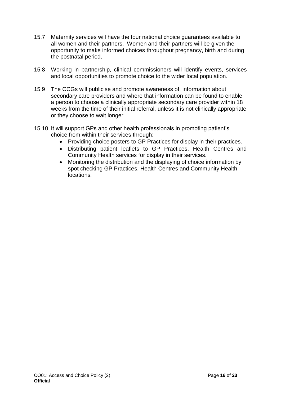- 15.7 Maternity services will have the four national choice guarantees available to all women and their partners. Women and their partners will be given the opportunity to make informed choices throughout pregnancy, birth and during the postnatal period.
- 15.8 Working in partnership, clinical commissioners will identify events, services and local opportunities to promote choice to the wider local population.
- 15.9 The CCGs will publicise and promote awareness of, information about secondary care providers and where that information can be found to enable a person to choose a clinically appropriate secondary care provider within 18 weeks from the time of their initial referral, unless it is not clinically appropriate or they choose to wait longer
- 15.10 It will support GPs and other health professionals in promoting patient's choice from within their services through:
	- Providing choice posters to GP Practices for display in their practices.
	- Distributing patient leaflets to GP Practices, Health Centres and Community Health services for display in their services.
	- Monitoring the distribution and the displaying of choice information by spot checking GP Practices, Health Centres and Community Health locations.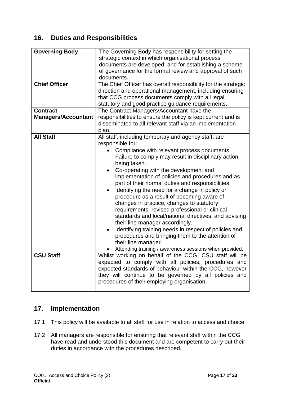## <span id="page-16-0"></span>**16. Duties and Responsibilities**

| <b>Governing Body</b>      | The Governing Body has responsibility for setting the<br>strategic context in which organisational process<br>documents are developed, and for establishing a scheme<br>of governance for the formal review and approval of such<br>documents. |  |  |
|----------------------------|------------------------------------------------------------------------------------------------------------------------------------------------------------------------------------------------------------------------------------------------|--|--|
| <b>Chief Officer</b>       | The Chief Officer has overall responsibility for the strategic                                                                                                                                                                                 |  |  |
|                            | direction and operational management, including ensuring<br>that CCG process documents comply with all legal,<br>statutory and good practice guidance requirements.                                                                            |  |  |
| <b>Contract</b>            | The Contract Managers/Accountant have the                                                                                                                                                                                                      |  |  |
| <b>Managers/Accountant</b> | responsibilities to ensure the policy is kept current and is                                                                                                                                                                                   |  |  |
|                            | disseminated to all relevant staff via an implementation                                                                                                                                                                                       |  |  |
|                            | plan.                                                                                                                                                                                                                                          |  |  |
| <b>All Staff</b>           | All staff, including temporary and agency staff, are                                                                                                                                                                                           |  |  |
|                            | responsible for:                                                                                                                                                                                                                               |  |  |
|                            | Compliance with relevant process documents.<br>$\bullet$                                                                                                                                                                                       |  |  |
|                            | Failure to comply may result in disciplinary action                                                                                                                                                                                            |  |  |
|                            | being taken.                                                                                                                                                                                                                                   |  |  |
|                            | Co-operating with the development and                                                                                                                                                                                                          |  |  |
|                            | implementation of policies and procedures and as<br>part of their normal duties and responsibilities.                                                                                                                                          |  |  |
|                            | Identifying the need for a change in policy or                                                                                                                                                                                                 |  |  |
|                            | procedure as a result of becoming aware of                                                                                                                                                                                                     |  |  |
|                            | changes in practice, changes to statutory                                                                                                                                                                                                      |  |  |
|                            | requirements, revised professional or clinical                                                                                                                                                                                                 |  |  |
|                            | standards and local/national directives, and advising<br>their line manager accordingly.                                                                                                                                                       |  |  |
|                            | Identifying training needs in respect of policies and                                                                                                                                                                                          |  |  |
|                            | procedures and bringing them to the attention of                                                                                                                                                                                               |  |  |
|                            | their line manager.                                                                                                                                                                                                                            |  |  |
|                            | Attending training / awareness sessions when provided.                                                                                                                                                                                         |  |  |
| <b>CSU Staff</b>           | Whilst working on behalf of the CCG, CSU staff will be                                                                                                                                                                                         |  |  |
|                            | expected to comply with all policies, procedures and                                                                                                                                                                                           |  |  |
|                            | expected standards of behaviour within the CCG, however                                                                                                                                                                                        |  |  |
|                            | they will continue to be governed by all policies and                                                                                                                                                                                          |  |  |
|                            | procedures of their employing organisation.                                                                                                                                                                                                    |  |  |
|                            |                                                                                                                                                                                                                                                |  |  |

## <span id="page-16-1"></span>**17. Implementation**

- 17.1 This policy will be available to all staff for use in relation to access and choice.
- 17.2 All managers are responsible for ensuring that relevant staff within the CCG have read and understood this document and are competent to carry out their duties in accordance with the procedures described.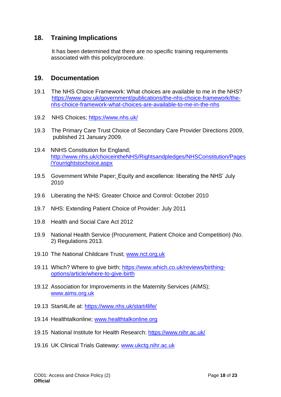## <span id="page-17-0"></span>**18. Training Implications**

It has been determined that there are no specific training requirements associated with this policy/procedure.

#### <span id="page-17-1"></span>**19. Documentation**

- 19.1 The NHS Choice Framework: What choices are available to me in the NHS? [https://www.gov.uk/government/publications/the-nhs-choice-framework/the](https://www.gov.uk/government/publications/the-nhs-choice-framework/the-nhs-choice-framework-what-choices-are-available-to-me-in-the-nhs)[nhs-choice-framework-what-choices-are-available-to-me-in-the-nhs](https://www.gov.uk/government/publications/the-nhs-choice-framework/the-nhs-choice-framework-what-choices-are-available-to-me-in-the-nhs)
- 19.2 NHS Choices;<https://www.nhs.uk/>
- 19.3 The Primary Care Trust Choice of Secondary Care Provider Directions 2009, published 21 January 2009.
- 19.4 NNHS Constitution for England; [http://www.nhs.uk/choiceintheNHS/Rightsandpledges/NHSConstitution/Pages](http://www.nhs.uk/choiceintheNHS/Rightsandpledges/NHSConstitution/Pages/Yourrightstochoice.aspx) [/Yourrightstochoice.aspx](http://www.nhs.uk/choiceintheNHS/Rightsandpledges/NHSConstitution/Pages/Yourrightstochoice.aspx)
- 19.5 Government White Paper; Equity and excellence: liberating the NHS' July 2010
- 19.6 Liberating the NHS: Greater Choice and Control: October 2010
- 19.7 NHS: Extending Patient Choice of Provider: July 2011
- 19.8 Health and Social Care Act 2012
- 19.9 National Health Service (Procurement, Patient Choice and Competition) (No. 2) Regulations 2013.
- 19.10 The National Childcare Trust; [www.nct.org.uk](file:///C:/Users/joanne.leadbitter/AppData/Local/Microsoft/Windows/INetCache/Content.Outlook/VPDQ8LDO/www.nct.org.uk)
- 19.11 Which? Where to give birth; [https://www.which.co.uk/reviews/birthing](https://www.which.co.uk/reviews/birthing-options/article/where-to-give-birth)[options/article/where-to-give-birth](https://www.which.co.uk/reviews/birthing-options/article/where-to-give-birth)
- 19.12 Association for Improvements in the Maternity Services (AIMS); [www.aims.org.uk](http://www.aims.org.uk/)
- 19.13 Start4Life at:<https://www.nhs.uk/start4life/>
- 19.14 Healthtalkonline; [www.healthtalkonline.org](http://www.healthtalkonline.org/)
- 19.15 National Institute for Health Research:<https://www.nihr.ac.uk/>
- 19.16 UK Clinical Trials Gateway: [www.ukctg.nihr.ac.uk](http://www.ukctg.nihr.ac.uk/)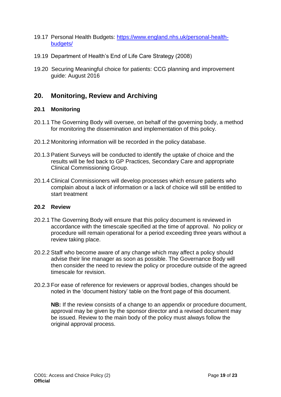- 19.17 Personal Health Budgets: [https://www.england.nhs.uk/personal-health](https://www.england.nhs.uk/personal-health-budgets/)[budgets/](https://www.england.nhs.uk/personal-health-budgets/)
- 19.19 Department of Health's End of Life Care Strategy (2008)
- 19.20 Securing Meaningful choice for patients: CCG planning and improvement guide: August 2016

## <span id="page-18-0"></span>**20. Monitoring, Review and Archiving**

#### **20.1 Monitoring**

- 20.1.1 The Governing Body will oversee, on behalf of the governing body, a method for monitoring the dissemination and implementation of this policy.
- 20.1.2 Monitoring information will be recorded in the policy database.
- 20.1.3 Patient Surveys will be conducted to identify the uptake of choice and the results will be fed back to GP Practices, Secondary Care and appropriate Clinical Commissioning Group.
- 20.1.4 Clinical Commissioners will develop processes which ensure patients who complain about a lack of information or a lack of choice will still be entitled to start treatment

#### **20.2 Review**

- 20.2.1 The Governing Body will ensure that this policy document is reviewed in accordance with the timescale specified at the time of approval. No policy or procedure will remain operational for a period exceeding three years without a review taking place.
- 20.2.2 Staff who become aware of any change which may affect a policy should advise their line manager as soon as possible. The Governance Body will then consider the need to review the policy or procedure outside of the agreed timescale for revision.
- 20.2.3 For ease of reference for reviewers or approval bodies, changes should be noted in the 'document history' table on the front page of this document.

**NB:** If the review consists of a change to an appendix or procedure document, approval may be given by the sponsor director and a revised document may be issued. Review to the main body of the policy must always follow the original approval process.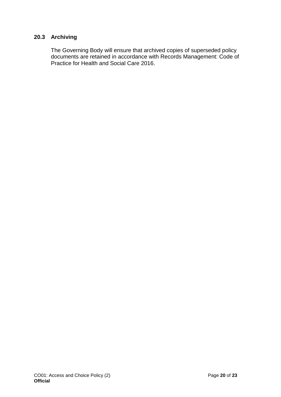#### **20.3 Archiving**

The Governing Body will ensure that archived copies of superseded policy documents are retained in accordance with Records Management: Code of Practice for Health and Social Care 2016.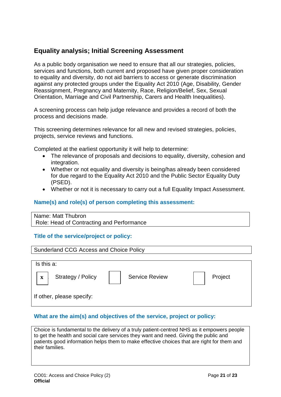## <span id="page-20-0"></span>**Equality analysis; Initial Screening Assessment**

As a public body organisation we need to ensure that all our strategies, policies, services and functions, both current and proposed have given proper consideration to equality and diversity, do not aid barriers to access or generate discrimination against any protected groups under the Equality Act 2010 (Age, Disability, Gender Reassignment, Pregnancy and Maternity, Race, Religion/Belief, Sex, Sexual Orientation, Marriage and Civil Partnership, Carers and Health Inequalities).

A screening process can help judge relevance and provides a record of both the process and decisions made.

This screening determines relevance for all new and revised strategies, policies, projects, service reviews and functions.

Completed at the earliest opportunity it will help to determine:

- The relevance of proposals and decisions to equality, diversity, cohesion and integration.
- Whether or not equality and diversity is being/has already been considered for due regard to the Equality Act 2010 and the Public Sector Equality Duty (PSED).
- Whether or not it is necessary to carry out a full Equality Impact Assessment.

#### **Name(s) and role(s) of person completing this assessment:**

Name: Matt Thubron Role: Head of Contracting and Performance

#### **Title of the service/project or policy:**



#### **What are the aim(s) and objectives of the service, project or policy:**

Choice is fundamental to the delivery of a truly patient-centred NHS as it empowers people to get the health and social care services they want and need. Giving the public and patients good information helps them to make effective choices that are right for them and their families.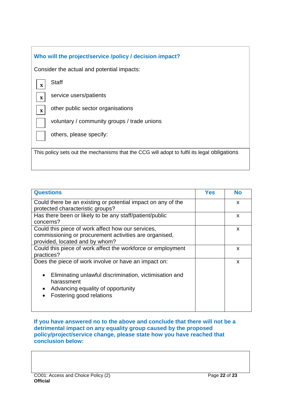| Who will the project/service /policy / decision impact?                                     |  |  |  |  |  |
|---------------------------------------------------------------------------------------------|--|--|--|--|--|
| Consider the actual and potential impacts:                                                  |  |  |  |  |  |
| <b>Staff</b><br>$\mathbf X$                                                                 |  |  |  |  |  |
| service users/patients<br>$\mathbf X$                                                       |  |  |  |  |  |
| other public sector organisations<br>$\mathbf x$                                            |  |  |  |  |  |
| voluntary / community groups / trade unions                                                 |  |  |  |  |  |
| others, please specify:                                                                     |  |  |  |  |  |
|                                                                                             |  |  |  |  |  |
| This policy sets out the mechanisms that the CCG will adopt to fulfil its legal obligations |  |  |  |  |  |

| <b>Questions</b>                                                                                                                                                                              | Yes | <b>No</b> |
|-----------------------------------------------------------------------------------------------------------------------------------------------------------------------------------------------|-----|-----------|
| Could there be an existing or potential impact on any of the<br>protected characteristic groups?                                                                                              |     | X         |
| Has there been or likely to be any staff/patient/public<br>concerns?                                                                                                                          |     | X         |
| Could this piece of work affect how our services,<br>commissioning or procurement activities are organised,<br>provided, located and by whom?                                                 |     | X         |
| Could this piece of work affect the workforce or employment<br>practices?                                                                                                                     |     | X         |
| Does the piece of work involve or have an impact on:<br>Eliminating unlawful discrimination, victimisation and<br>harassment<br>Advancing equality of opportunity<br>Fostering good relations |     | X         |

**If you have answered no to the above and conclude that there will not be a detrimental impact on any equality group caused by the proposed policy/project/service change, please state how you have reached that conclusion below:**